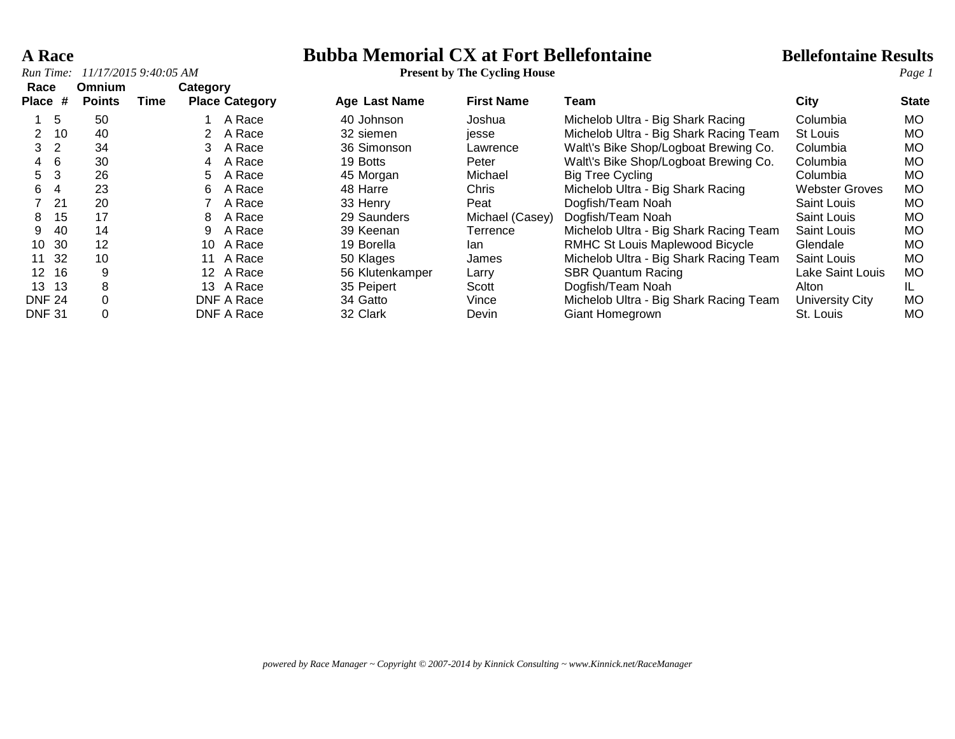**A Race Bubba Memorial CX at Fort Bellefontaine Bellefontaine Results**

| Run Time:            |                                | 11/17/2015 9:40:05 AM |          |                       |                      | <b>Present by The Cycling House</b> |                                        |                       | Page 1       |
|----------------------|--------------------------------|-----------------------|----------|-----------------------|----------------------|-------------------------------------|----------------------------------------|-----------------------|--------------|
| Race<br>Place #      | <b>Omnium</b><br><b>Points</b> | Time                  | Category | <b>Place Category</b> | <b>Age Last Name</b> | <b>First Name</b>                   | Team                                   | City                  | <b>State</b> |
| -5                   | 50                             |                       |          | A Race                | 40 Johnson           | Joshua                              | Michelob Ultra - Big Shark Racing      | Columbia              | MO.          |
| 10<br>2              | 40                             |                       |          | A Race                | 32 siemen            | jesse                               | Michelob Ultra - Big Shark Racing Team | St Louis              | MO.          |
| $\overline{2}$<br>3. | 34                             |                       |          | A Race                | 36 Simonson          | Lawrence                            | Walt\'s Bike Shop/Logboat Brewing Co.  | Columbia              | MO.          |
| 6<br>$\overline{4}$  | 30                             |                       | 4        | A Race                | 19 Botts             | Peter                               | Walt's Bike Shop/Logboat Brewing Co.   | Columbia              | MO.          |
| 3<br>5.              | 26                             |                       | 5        | A Race                | 45 Morgan            | Michael                             | <b>Big Tree Cycling</b>                | Columbia              | MO.          |
| 6<br>4               | 23                             |                       | 6        | A Race                | 48 Harre             | Chris                               | Michelob Ultra - Big Shark Racing      | <b>Webster Groves</b> | <b>MO</b>    |
| 21                   | 20                             |                       |          | A Race                | 33 Henry             | Peat                                | Dogfish/Team Noah                      | Saint Louis           | MO.          |
| 15<br>8              | 17                             |                       | 8        | A Race                | 29 Saunders          | Michael (Casey)                     | Dogfish/Team Noah                      | Saint Louis           | MO.          |
| 40<br>9              | 14                             |                       | 9        | A Race                | 39 Keenan            | Terrence                            | Michelob Ultra - Big Shark Racing Team | Saint Louis           | MO.          |
| 30<br>10             | 12                             |                       | 10       | A Race                | 19 Borella           | lan                                 | <b>RMHC St Louis Maplewood Bicycle</b> | Glendale              | MO.          |
| 32<br>11             | 10                             |                       | 11       | A Race                | 50 Klages            | James                               | Michelob Ultra - Big Shark Racing Team | Saint Louis           | MO.          |
| 12 16                | 9                              |                       |          | 12 A Race             | 56 Klutenkamper      | Larry                               | <b>SBR Quantum Racing</b>              | Lake Saint Louis      | MO.          |
| 13 13                | 8                              |                       | 13       | A Race                | 35 Peipert           | Scott                               | Dogfish/Team Noah                      | Alton                 | IL.          |
| <b>DNF 24</b>        | 0                              |                       |          | DNF A Race            | 34 Gatto             | Vince                               | Michelob Ultra - Big Shark Racing Team | University City       | <b>MO</b>    |
| <b>DNF 31</b>        | 0                              |                       |          | DNF A Race            | 32 Clark             | Devin                               | Giant Homegrown                        | St. Louis             | <b>MO</b>    |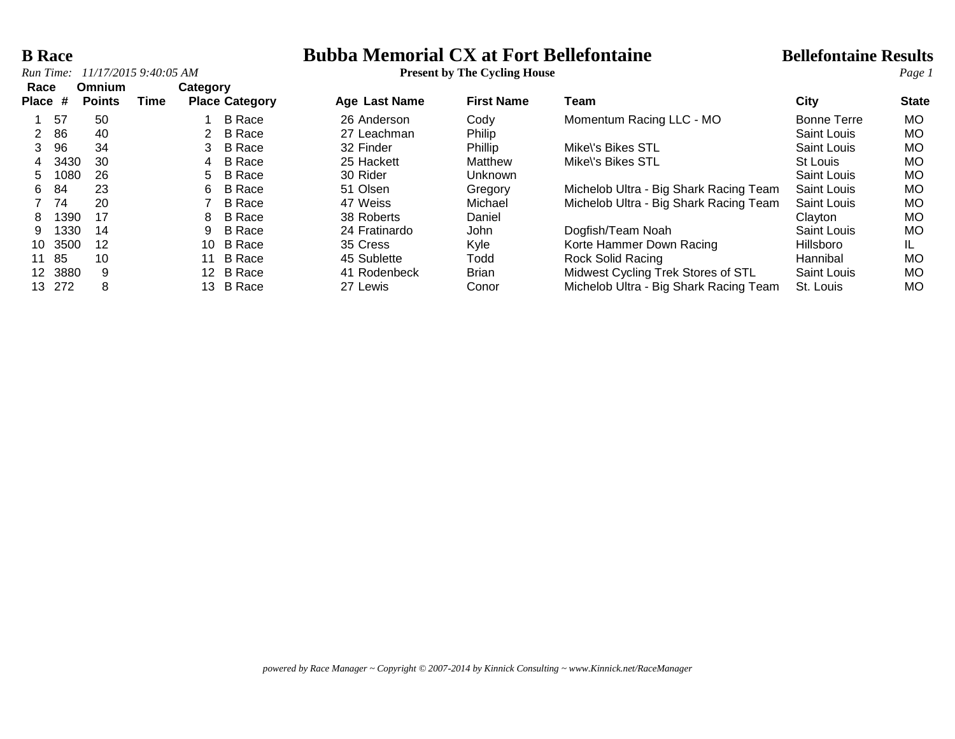## *Run Time:*  $11/17/20159::40:05 AM$

## **B Race Bubba Memorial CX at Fort Bellefontaine Bellefontaine Results**<br>**Run Time:** 11/17/2015 9:40:05 AM **Present by The Cycling House Page 1**

| Race<br><b>Place</b> | #    | Omnium<br><b>Points</b> | Time | Category        | <b>Place Category</b> | <b>Age Last Name</b> | <b>First Name</b> | Team                                   | City        | <b>State</b> |
|----------------------|------|-------------------------|------|-----------------|-----------------------|----------------------|-------------------|----------------------------------------|-------------|--------------|
|                      | 57   | 50                      |      |                 | B Race                | 26 Anderson          | Cody              | Momentum Racing LLC - MO               | Bonne Terre | <b>MO</b>    |
|                      | 86   | 40                      |      |                 | B Race                | 27 Leachman          | Philip            |                                        | Saint Louis | <b>MO</b>    |
| 3                    | 96   | 34                      |      | 3               | <b>B</b> Race         | 32 Finder            | Phillip           | Mike\'s Bikes STL                      | Saint Louis | <b>MO</b>    |
| 4                    | 3430 | 30                      |      | 4               | B Race                | 25 Hackett           | Matthew           | Mike\'s Bikes STL                      | St Louis    | <b>MO</b>    |
| 5                    | 1080 | 26                      |      | 5.              | <b>B</b> Race         | 30 Rider             | <b>Unknown</b>    |                                        | Saint Louis | <b>MO</b>    |
| 6                    | 84   | 23                      |      | 6               | B Race                | 51 Olsen             | Gregory           | Michelob Ultra - Big Shark Racing Team | Saint Louis | MO           |
|                      | 74   | 20                      |      |                 | <b>B</b> Race         | 47 Weiss             | Michael           | Michelob Ultra - Big Shark Racing Team | Saint Louis | <b>MO</b>    |
| 8                    | 1390 | 17                      |      | 8               | <b>B</b> Race         | 38 Roberts           | Daniel            |                                        | Clayton     | <b>MO</b>    |
| 9                    | 1330 | 14                      |      | 9               | B Race                | 24 Fratinardo        | <b>John</b>       | Dogfish/Team Noah                      | Saint Louis | <b>MO</b>    |
| 10                   | 3500 | 12                      |      | 10              | B Race                | 35 Cress             | Kyle              | Korte Hammer Down Racing               | Hillsboro   | IL           |
| 11                   | -85  | 10                      |      | 11              | B Race                | 45 Sublette          | Todd              | Rock Solid Racing                      | Hannibal    | MO           |
| 12.                  | 3880 | 9                       |      | 12 <sup>7</sup> | B Race                | 41 Rodenbeck         | <b>Brian</b>      | Midwest Cycling Trek Stores of STL     | Saint Louis | <b>MO</b>    |
| 13.                  | -272 | 8                       |      | 13              | <b>B</b> Race         | 27 Lewis             | Conor             | Michelob Ultra - Big Shark Racing Team | St. Louis   | MO           |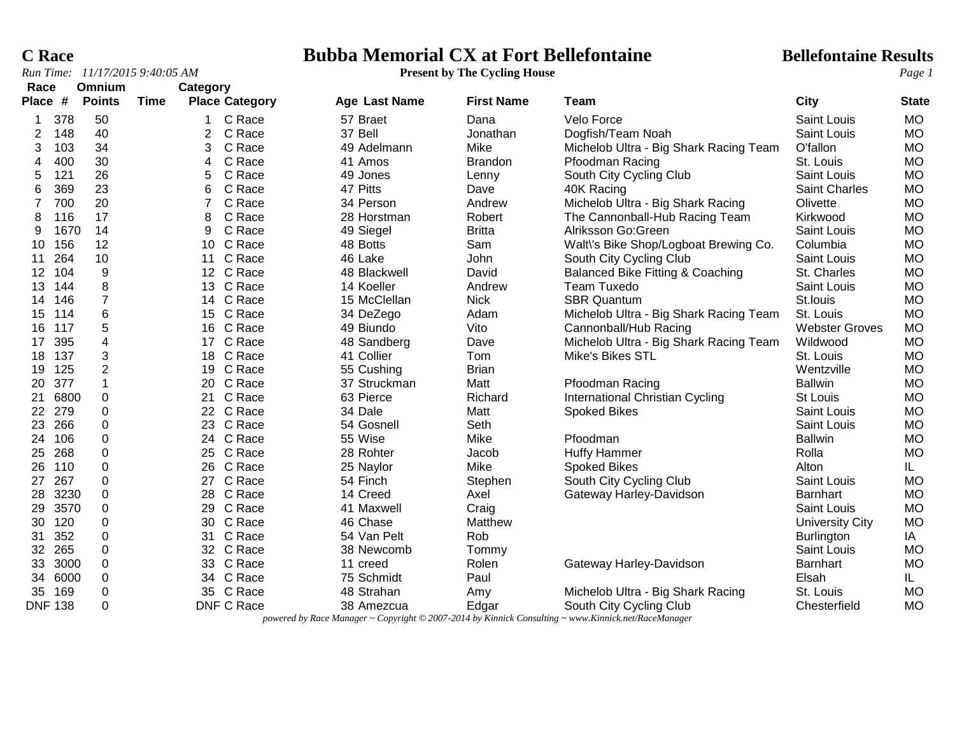*Run Time:*  $11/17/20159::40:05 AM$ 

# **C Race Bubba Memorial CX at Fort Bellefontaine Bellefontaine Results**<br>*Run Time:* 11/17/2015 9:40:05 AM **Present by The Cycling House Page 1**

| Race           |      | Omnium                  |             | Category       |                       |                      |                   |                                             |                        |              |
|----------------|------|-------------------------|-------------|----------------|-----------------------|----------------------|-------------------|---------------------------------------------|------------------------|--------------|
| Place #        |      | <b>Points</b>           | <b>Time</b> |                | <b>Place Category</b> | <b>Age Last Name</b> | <b>First Name</b> | <b>Team</b>                                 | <b>City</b>            | <b>State</b> |
| 1              | 378  | 50                      |             | 1              | C Race                | 57 Braet             | Dana              | Velo Force                                  | <b>Saint Louis</b>     | <b>MO</b>    |
| $\overline{c}$ | 148  | 40                      |             | $\overline{2}$ | C Race                | 37 Bell              | Jonathan          | Dogfish/Team Noah                           | Saint Louis            | <b>MO</b>    |
| 3              | 103  | 34                      |             | 3              | C Race                | 49 Adelmann          | Mike              | Michelob Ultra - Big Shark Racing Team      | O'fallon               | <b>MO</b>    |
| 4              | 400  | 30                      |             | 4              | C Race                | 41 Amos              | <b>Brandon</b>    | Pfoodman Racing                             | St. Louis              | <b>MO</b>    |
| 5<br>121       |      | 26                      |             | 5              | C Race                | 49 Jones             | Lenny             | South City Cycling Club                     | <b>Saint Louis</b>     | <b>MO</b>    |
| 6              | 369  | 23                      |             | 6              | C Race                | 47 Pitts             | Dave              | 40K Racing                                  | Saint Charles          | <b>MO</b>    |
| 7              | 700  | 20                      |             | 7              | C Race                | 34 Person            | Andrew            | Michelob Ultra - Big Shark Racing           | Olivette               | <b>MO</b>    |
| 8              | 116  | 17                      |             | 8              | C Race                | 28 Horstman          | Robert            | The Cannonball-Hub Racing Team              | Kirkwood               | <b>MO</b>    |
| 9              | 1670 | 14                      |             | 9              | C Race                | 49 Siegel            | <b>Britta</b>     | Alriksson Go:Green                          | Saint Louis            | <b>MO</b>    |
| 10             | 156  | 12                      |             |                | 10 C Race             | 48 Botts             | Sam               | Walt\'s Bike Shop/Logboat Brewing Co.       | Columbia               | <b>MO</b>    |
| 11             | 264  | 10                      |             | 11             | C Race                | 46 Lake              | John              | South City Cycling Club                     | Saint Louis            | <b>MO</b>    |
| 12             | 104  | 9                       |             |                | 12 C Race             | 48 Blackwell         | David             | <b>Balanced Bike Fitting &amp; Coaching</b> | St. Charles            | <b>MO</b>    |
| 13             | 144  | 8                       |             |                | 13 C Race             | 14 Koeller           | Andrew            | Team Tuxedo                                 | Saint Louis            | <b>MO</b>    |
| 14             | 146  | $\overline{7}$          |             |                | 14 C Race             | 15 McClellan         | <b>Nick</b>       | <b>SBR Quantum</b>                          | St.louis               | <b>MO</b>    |
| 15             | 114  | 6                       |             |                | 15 C Race             | 34 DeZego            | Adam              | Michelob Ultra - Big Shark Racing Team      | St. Louis              | <b>MO</b>    |
| 117<br>16      |      | $\sqrt{5}$              |             |                | 16 C Race             | 49 Biundo            | Vito              | Cannonball/Hub Racing                       | <b>Webster Groves</b>  | <b>MO</b>    |
| 17             | 395  | $\overline{\mathbf{4}}$ |             |                | 17 C Race             | 48 Sandberg          | Dave              | Michelob Ultra - Big Shark Racing Team      | Wildwood               | <b>MO</b>    |
| 18             | 137  | $\mathbf{3}$            |             |                | 18 C Race             | 41 Collier           | Tom               | Mike's Bikes STL                            | St. Louis              | <b>MO</b>    |
| 19             | 125  | $\overline{2}$          |             | 19             | C Race                | 55 Cushing           | <b>Brian</b>      |                                             | Wentzville             | <b>MO</b>    |
| 20             | 377  | 1                       |             | 20             | C Race                | 37 Struckman         | Matt              | Pfoodman Racing                             | <b>Ballwin</b>         | <b>MO</b>    |
| 21             | 6800 | 0                       |             | 21             | C Race                | 63 Pierce            | Richard           | International Christian Cycling             | St Louis               | <b>MO</b>    |
| 279<br>22      |      | 0                       |             |                | 22 C Race             | 34 Dale              | Matt              | <b>Spoked Bikes</b>                         | Saint Louis            | <b>MO</b>    |
| 23             | 266  | $\mathbf 0$             |             |                | 23 C Race             | 54 Gosnell           | Seth              |                                             | Saint Louis            | <b>MO</b>    |
| 24             | 106  | $\mathbf 0$             |             |                | 24 C Race             | 55 Wise              | Mike              | Pfoodman                                    | <b>Ballwin</b>         | <b>MO</b>    |
| 25             | 268  | $\mathbf 0$             |             |                | 25 C Race             | 28 Rohter            | Jacob             | <b>Huffy Hammer</b>                         | Rolla                  | <b>MO</b>    |
| 26             | 110  | 0                       |             |                | 26 C Race             | 25 Naylor            | Mike              | <b>Spoked Bikes</b>                         | Alton                  | IL.          |
| 27             | 267  | 0                       |             |                | 27 C Race             | 54 Finch             | Stephen           | South City Cycling Club                     | Saint Louis            | <b>MO</b>    |
| 28             | 3230 | $\mathbf 0$             |             | 28             | C Race                | 14 Creed             | Axel              | Gateway Harley-Davidson                     | Barnhart               | <b>MO</b>    |
| 29             | 3570 | $\pmb{0}$               |             | 29             | C Race                | 41 Maxwell           | Craig             |                                             | Saint Louis            | MO           |
| 30             | 120  | $\pmb{0}$               |             |                | 30 C Race             | 46 Chase             | Matthew           |                                             | <b>University City</b> | <b>MO</b>    |
| 31             | 352  | $\pmb{0}$               |             | 31             | C Race                | 54 Van Pelt          | Rob               |                                             | Burlington             | IA           |
| 32             | 265  | $\pmb{0}$               |             |                | 32 C Race             | 38 Newcomb           | Tommy             |                                             | Saint Louis            | <b>MO</b>    |
| 33             | 3000 | $\mathbf 0$             |             |                | 33 C Race             | 11 creed             | Rolen             | Gateway Harley-Davidson                     | <b>Barnhart</b>        | <b>MO</b>    |
| 34             | 6000 | $\mathbf 0$             |             |                | 34 C Race             | 75 Schmidt           | Paul              |                                             | Elsah                  | IL.          |
| 35             | 169  | 0                       |             |                | 35 C Race             | 48 Strahan           | Amy               | Michelob Ultra - Big Shark Racing           | St. Louis              | <b>MO</b>    |
| <b>DNF 138</b> |      | $\mathbf 0$             |             |                | <b>DNF C Race</b>     | 38 Amezcua           | Edgar             | South City Cycling Club                     | Chesterfield           | <b>MO</b>    |

*powered by Race Manager ~ Copyright © 2007-2014 by Kinnick Consulting ~ www.Kinnick.net/RaceManager*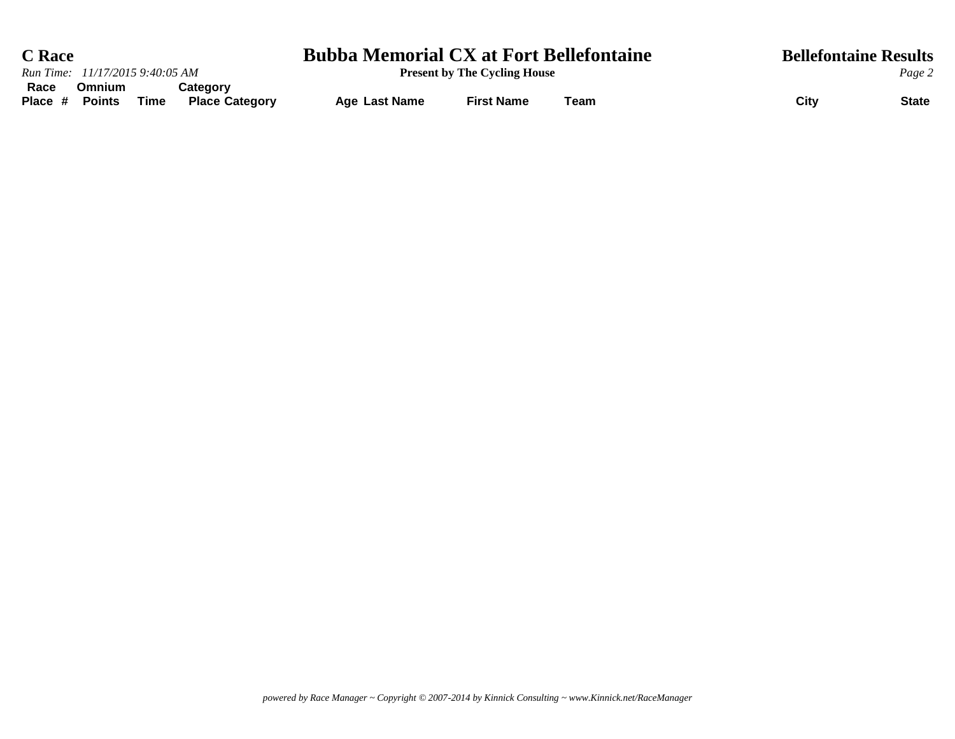| <b>C</b> Race   |                                 |      |                                   | <b>Bubba Memorial CX at Fort Bellefontaine</b> |                   | <b>Bellefontaine Results</b> |                      |
|-----------------|---------------------------------|------|-----------------------------------|------------------------------------------------|-------------------|------------------------------|----------------------|
|                 | Run Time: 11/17/2015 9:40:05 AM |      |                                   | <b>Present by The Cycling House</b>            |                   |                              | Page 2               |
| Race<br>Place # | Omnium<br><b>Points</b>         | Time | Category<br><b>Place Category</b> | <b>Age Last Name</b>                           | <b>First Name</b> | Team                         | City<br><b>State</b> |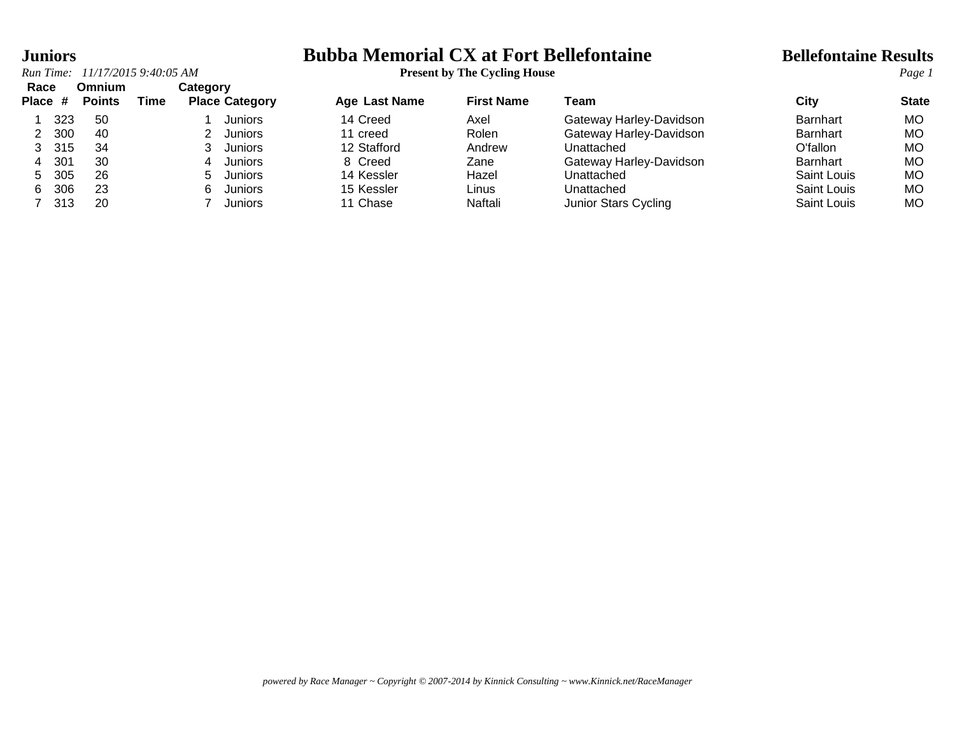### **Juniors Bubba Memorial CX at Fort Bellefontaine Bellefontaine Results**

|                   |     |                                | Run Time: 11/17/2015 9:40:05 AM |          |                       |                      | <b>Present by The Cycling House</b> |                         |                    | Page 1       |
|-------------------|-----|--------------------------------|---------------------------------|----------|-----------------------|----------------------|-------------------------------------|-------------------------|--------------------|--------------|
| Race<br>Place $#$ |     | <b>Omnium</b><br><b>Points</b> | Time                            | Category | <b>Place Category</b> | <b>Age Last Name</b> | <b>First Name</b>                   | Team                    | City               | <b>State</b> |
|                   | 323 | -50                            |                                 |          | <b>Juniors</b>        | 14 Creed             | Axel                                | Gateway Harley-Davidson | Barnhart           | MO.          |
|                   | 300 | 40                             |                                 |          | Juniors               | 11 creed             | Rolen                               | Gateway Harley-Davidson | <b>Barnhart</b>    | MO           |
|                   | 315 | 34                             |                                 |          | Juniors               | 12 Stafford          | Andrew                              | Unattached              | O'fallon           | MO           |
| 4                 | 301 | 30                             |                                 | 4        | <b>Juniors</b>        | 8 Creed              | Zane                                | Gateway Harley-Davidson | <b>Barnhart</b>    | MO           |
| 5.                | 305 | 26                             |                                 | 5.       | Juniors               | 14 Kessler           | Hazel                               | Unattached              | Saint Louis        | MO           |
| 6.                | 306 | 23                             |                                 | 6.       | <b>Juniors</b>        | 15 Kessler           | Linus                               | Unattached              | Saint Louis        | MO           |
|                   | 313 | 20                             |                                 |          | <b>Juniors</b>        | 11 Chase             | Naftali                             | Junior Stars Cycling    | <b>Saint Louis</b> | МO           |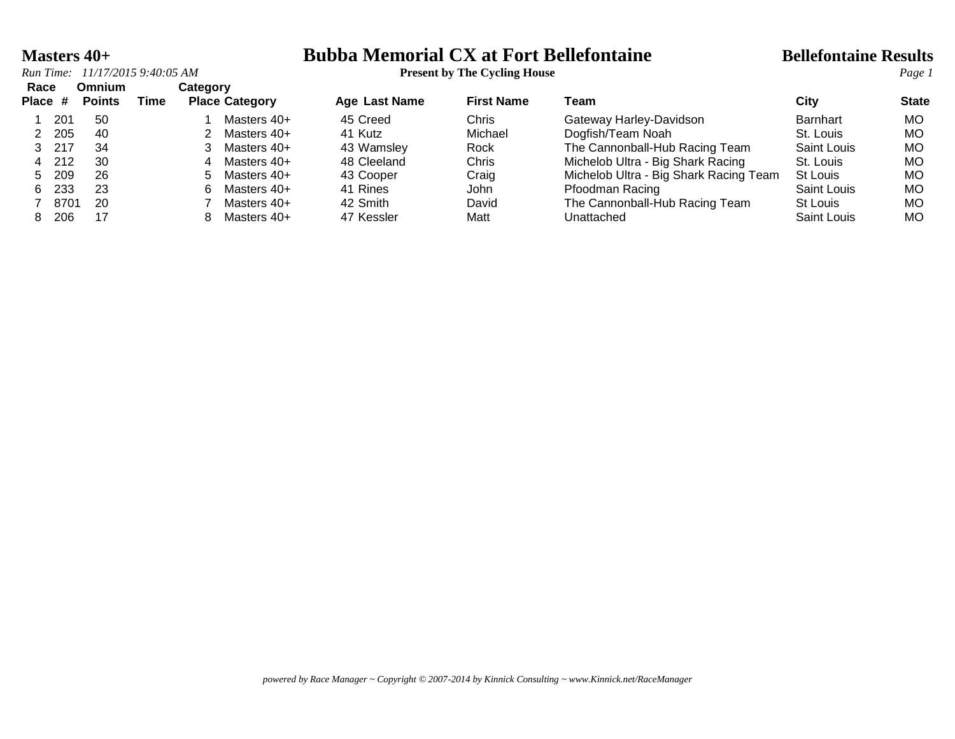### **Masters 40+ Bubba Memorial CX at Fort Bellefontaine Bellefontaine Results**

| Race<br>Place # |       | Omnium<br><b>Points</b> | Time | Categorv | <b>Place Category</b> | <b>Age Last Name</b> | <b>First Name</b> | Team                                   | City               | <b>State</b> |
|-----------------|-------|-------------------------|------|----------|-----------------------|----------------------|-------------------|----------------------------------------|--------------------|--------------|
|                 | 201   | -50                     |      |          | Masters 40+           | 45 Creed             | Chris             | Gateway Harley-Davidson                | <b>Barnhart</b>    | МO           |
|                 | -205  | -40                     |      |          | Masters 40+           | 41 Kutz              | Michael           | Dogfish/Team Noah                      | St. Louis          | МO           |
| 3, 217          |       | 34                      |      |          | Masters 40+           | 43 Wamsley           | Rock              | The Cannonball-Hub Racing Team         | Saint Louis        | MO           |
|                 | 4 212 | 30                      |      | 4        | Masters 40+           | 48 Cleeland          | Chris             | Michelob Ultra - Big Shark Racing      | St. Louis          | МO           |
| 5.              | 209   | 26                      |      |          | 5 Masters 40+         | 43 Cooper            | Craig             | Michelob Ultra - Big Shark Racing Team | St Louis           | MO           |
| 6.              | 233   | 23                      |      | 6.       | Masters 40+           | 41 Rines             | <b>John</b>       | Pfoodman Racing                        | Saint Louis        | МO           |
|                 | 8701  | -20                     |      |          | Masters 40+           | 42 Smith             | David             | The Cannonball-Hub Racing Team         | St Louis           | МO           |
|                 | 206   | 17                      |      |          | Masters 40+           | 47 Kessler           | Matt              | Unattached                             | <b>Saint Louis</b> | МO           |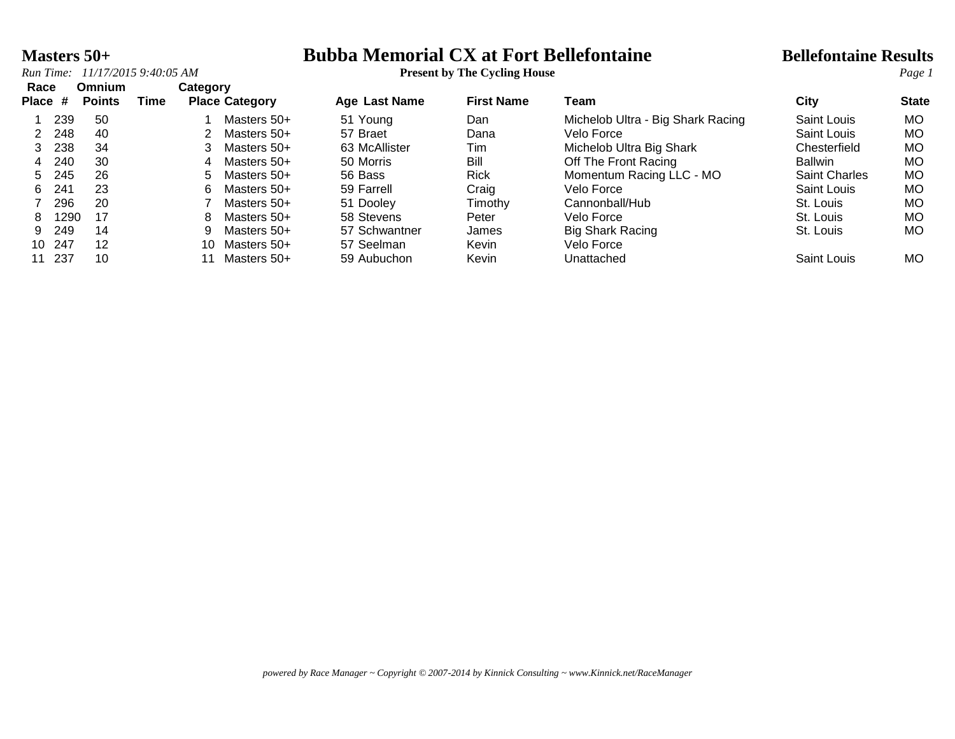### **Masters 50+ Bubba Memorial CX at Fort Bellefontaine Bellefontaine Results**

| Race         |      | <b>Omnium</b> |      | Category |                       |                      |                   |                                   |                      |              |
|--------------|------|---------------|------|----------|-----------------------|----------------------|-------------------|-----------------------------------|----------------------|--------------|
| <b>Place</b> | #    | <b>Points</b> | Time |          | <b>Place Category</b> | <b>Age Last Name</b> | <b>First Name</b> | Team                              | City                 | <b>State</b> |
|              | 239  | -50           |      |          | Masters 50+           | 51 Young             | Dan               | Michelob Ultra - Big Shark Racing | Saint Louis          | <b>MO</b>    |
|              | 248  | 40            |      |          | Masters 50+           | 57 Braet             | Dana              | Velo Force                        | Saint Louis          | <b>MO</b>    |
|              | 238  | 34            |      |          | Masters 50+           | 63 McAllister        | Tim               | Michelob Ultra Big Shark          | Chesterfield         | <b>MO</b>    |
| 4            | 240  | 30            |      | 4        | Masters 50+           | 50 Morris            | Bill              | Off The Front Racing              | <b>Ballwin</b>       | <b>MO</b>    |
| 5.           | 245  | 26            |      | 5.       | Masters 50+           | 56 Bass              | Rick              | Momentum Racing LLC - MO          | <b>Saint Charles</b> | <b>MO</b>    |
| 6.           | 241  | 23            |      | 6.       | Masters 50+           | 59 Farrell           | Craig             | Velo Force                        | Saint Louis          | <b>MO</b>    |
|              | 296  | 20            |      |          | Masters 50+           | 51 Dooley            | Timothy           | Cannonball/Hub                    | St. Louis            | MO           |
| 8.           | 1290 | 17            |      | 8        | Masters 50+           | 58 Stevens           | Peter             | Velo Force                        | St. Louis            | MO           |
| 9.           | 249  | 14            |      |          | Masters 50+           | 57 Schwantner        | James             | <b>Big Shark Racing</b>           | St. Louis            | <b>MO</b>    |
| 10           | 247  | 12            |      | 10.      | Masters 50+           | 57 Seelman           | Kevin             | Velo Force                        |                      |              |
| 11           | 237  | 10            |      |          | Masters 50+           | 59 Aubuchon          | Kevin             | Unattached                        | Saint Louis          | <b>MO</b>    |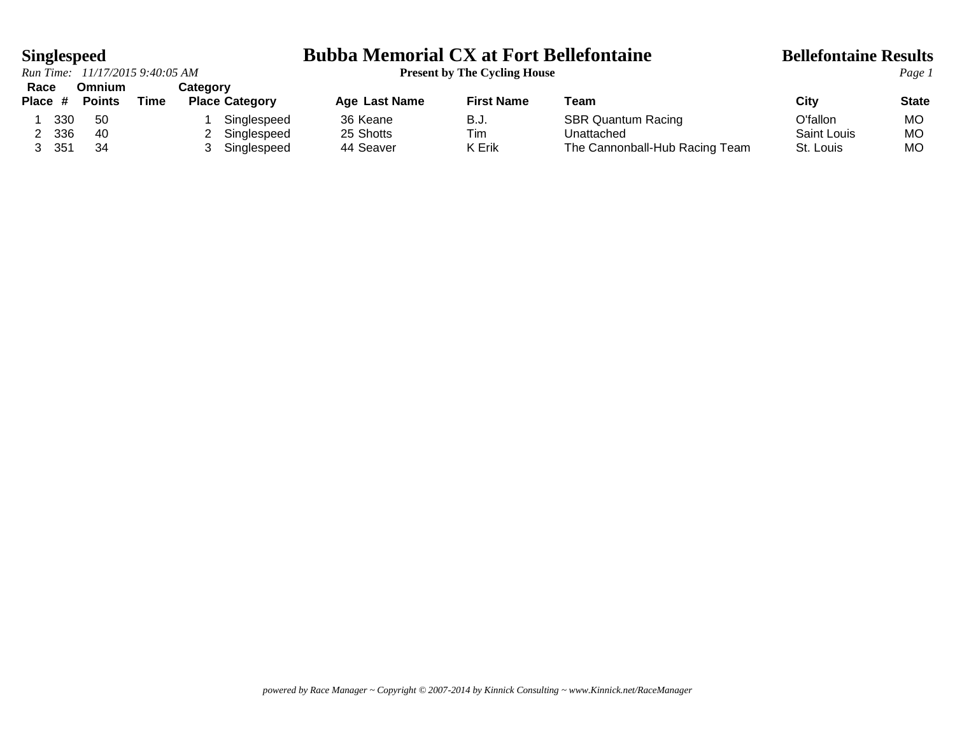*Run Time:*  $11/17/2015$  9:40:05 AM **Race Omnium Category**

# **Singlespeed**<br>*Run Time:* 11/17/2015 9:40:05 AM<br>**Present by The Cycling House**<br>*Page 1*

| nauc    |     | viililulli    |      | ualeyoi y             |               |                   |                                |             |              |
|---------|-----|---------------|------|-----------------------|---------------|-------------------|--------------------------------|-------------|--------------|
| Place # |     | <b>Points</b> | Time | <b>Place Category</b> | Age Last Name | <b>First Name</b> | Team                           | City        | <b>State</b> |
|         | 330 | -50           |      | Singlespeed           | 36 Keane      | B.J.              | <b>SBR Quantum Racing</b>      | O'fallon    | MО           |
|         | 336 | -40           |      | Singlespeed           | 25 Shotts     | Tim               | Unattached                     | Saint Louis | МC           |
|         | 351 | 34            |      | Singlespeed           | 44 Seaver     | K Erik            | The Cannonball-Hub Racing Team | St. Louis   | МO           |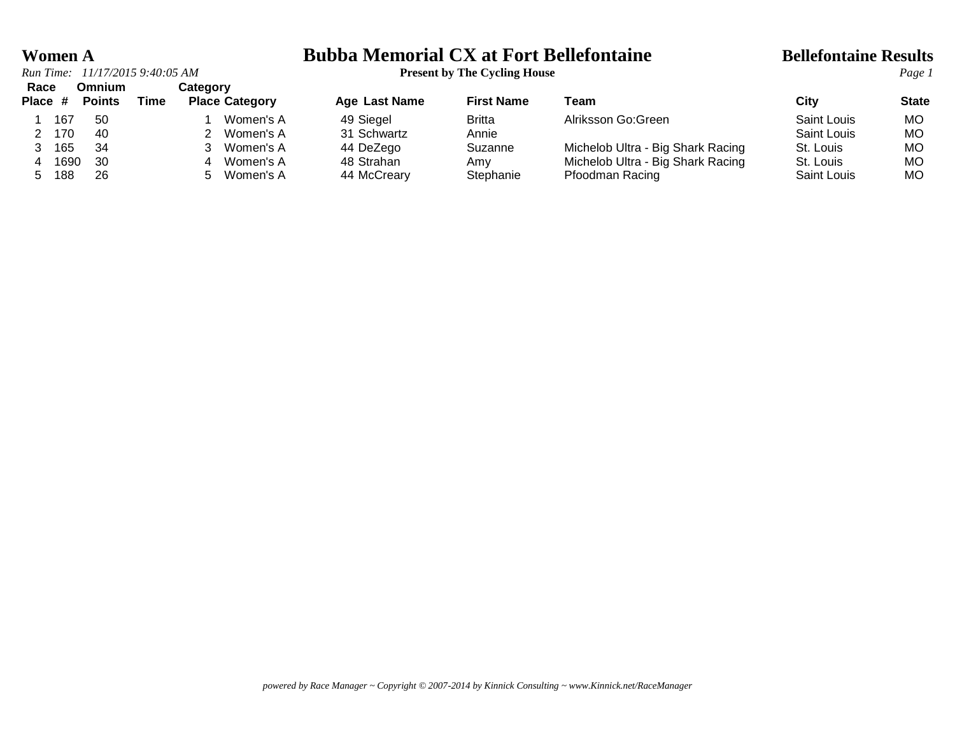## **Women A**<br>**Bubba Memorial CX at Fort Bellefontaine Bellefontaine Results**<br>**Present by The Cycling House**

| Race<br>Place # |      | Omnium<br><b>Points</b> | Time | Category<br><b>Place Category</b> | Age Last Name | <b>First Name</b> | Team                              | City        | <b>State</b> |
|-----------------|------|-------------------------|------|-----------------------------------|---------------|-------------------|-----------------------------------|-------------|--------------|
|                 | 167  | -50                     |      | Women's A                         | 49 Siegel     | Britta            | Alriksson Go: Green               | Saint Louis | МO           |
|                 | 170  | 40                      |      | Women's A                         | 31 Schwartz   | Annie             |                                   | Saint Louis | MO           |
|                 | 165  | 34                      |      | Women's A                         | 44 DeZego     | Suzanne           | Michelob Ultra - Big Shark Racing | St. Louis   | MO           |
|                 | 1690 | -30                     |      | Women's A<br>4                    | 48 Strahan    | Amv               | Michelob Ultra - Big Shark Racing | St. Louis   | МO           |
|                 | 188  | 26                      |      | Women's A                         | 44 McCreary   | Stephanie         | Pfoodman Racing                   | Saint Louis | MO           |